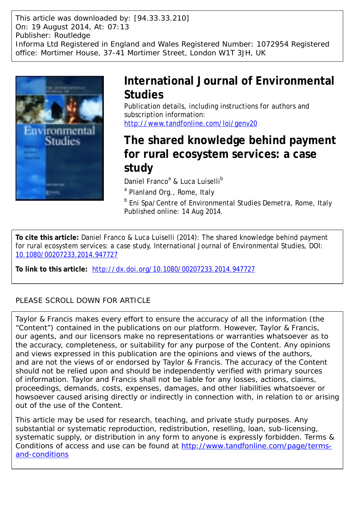This article was downloaded by: [94.33.33.210] On: 19 August 2014, At: 07:13 Publisher: Routledge Informa Ltd Registered in England and Wales Registered Number: 1072954 Registered office: Mortimer House, 37-41 Mortimer Street, London W1T 3JH, UK



# **International Journal of Environmental Studies**

Publication details, including instructions for authors and subscription information: <http://www.tandfonline.com/loi/genv20>

# **The shared knowledge behind payment for rural ecosystem services: a case study**

Daniel Franco<sup>a</sup> & Luca Luiselli<sup>b</sup>

<sup>a</sup> Planland Org., Rome, Italy

<sup>b</sup> Eni Spa/Centre of Environmental Studies Demetra, Rome, Italy Published online: 14 Aug 2014.

**To cite this article:** Daniel Franco & Luca Luiselli (2014): The shared knowledge behind payment for rural ecosystem services: a case study, International Journal of Environmental Studies, DOI: [10.1080/00207233.2014.947727](http://www.tandfonline.com/action/showCitFormats?doi=10.1080/00207233.2014.947727)

**To link to this article:** <http://dx.doi.org/10.1080/00207233.2014.947727>

## PLEASE SCROLL DOWN FOR ARTICLE

Taylor & Francis makes every effort to ensure the accuracy of all the information (the "Content") contained in the publications on our platform. However, Taylor & Francis, our agents, and our licensors make no representations or warranties whatsoever as to the accuracy, completeness, or suitability for any purpose of the Content. Any opinions and views expressed in this publication are the opinions and views of the authors, and are not the views of or endorsed by Taylor & Francis. The accuracy of the Content should not be relied upon and should be independently verified with primary sources of information. Taylor and Francis shall not be liable for any losses, actions, claims, proceedings, demands, costs, expenses, damages, and other liabilities whatsoever or howsoever caused arising directly or indirectly in connection with, in relation to or arising out of the use of the Content.

This article may be used for research, teaching, and private study purposes. Any substantial or systematic reproduction, redistribution, reselling, loan, sub-licensing, systematic supply, or distribution in any form to anyone is expressly forbidden. Terms & Conditions of access and use can be found at [http://www.tandfonline.com/page/terms](http://www.tandfonline.com/page/terms-and-conditions)[and-conditions](http://www.tandfonline.com/page/terms-and-conditions)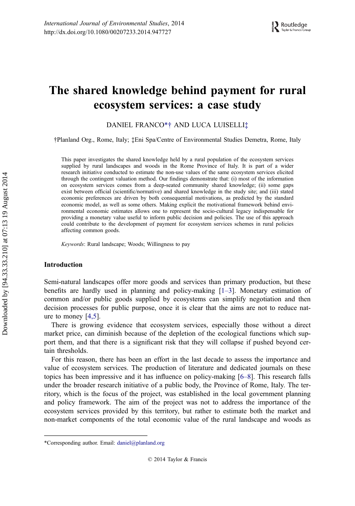# The shared knowledge behind payment for rural ecosystem services: a case study

DANIEL FRANCO\*† AND LUCA LUISELLI‡

†Planland Org., Rome, Italy; ‡Eni Spa/Centre of Environmental Studies Demetra, Rome, Italy

This paper investigates the shared knowledge held by a rural population of the ecosystem services supplied by rural landscapes and woods in the Rome Province of Italy. It is part of a wider research initiative conducted to estimate the non-use values of the same ecosystem services elicited through the contingent valuation method. Our findings demonstrate that: (i) most of the information on ecosystem services comes from a deep-seated community shared knowledge; (ii) some gaps exist between official (scientific/normative) and shared knowledge in the study site; and (iii) stated economic preferences are driven by both consequential motivations, as predicted by the standard economic model, as well as some others. Making explicit the motivational framework behind environmental economic estimates allows one to represent the socio-cultural legacy indispensable for providing a monetary value useful to inform public decision and policies. The use of this approach could contribute to the development of payment for ecosystem services schemes in rural policies affecting common goods.

Keywords: Rural landscape; Woods; Willingness to pay

#### Introduction

Semi-natural landscapes offer more goods and services than primary production, but these benefits are hardly used in planning and policy-making [1–[3\]](#page-15-0). Monetary estimation of common and/or public goods supplied by ecosystems can simplify negotiation and then decision processes for public purpose, once it is clear that the aims are not to reduce nature to money [[4,5](#page-15-0)].

There is growing evidence that ecosystem services, especially those without a direct market price, can diminish because of the depletion of the ecological functions which support them, and that there is a significant risk that they will collapse if pushed beyond certain thresholds.

For this reason, there has been an effort in the last decade to assess the importance and value of ecosystem services. The production of literature and dedicated journals on these topics has been impressive and it has influence on policy-making [6–[8\]](#page-15-0). This research falls under the broader research initiative of a public body, the Province of Rome, Italy. The territory, which is the focus of the project, was established in the local government planning and policy framework. The aim of the project was not to address the importance of the ecosystem services provided by this territory, but rather to estimate both the market and non-market components of the total economic value of the rural landscape and woods as

<sup>\*</sup>Corresponding author. Email: [daniel@planland.org](mailto:daniel@planland.org)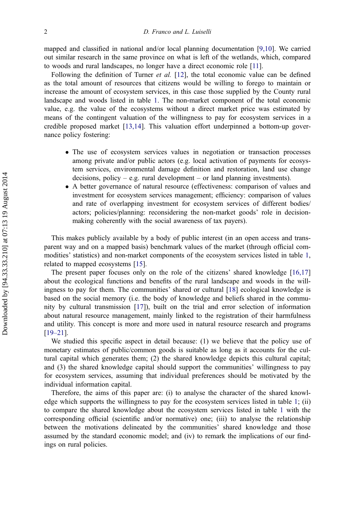mapped and classified in national and/or local planning documentation [[9,10\]](#page-15-0). We carried out similar research in the same province on what is left of the wetlands, which, compared to woods and rural landscapes, no longer have a direct economic role [[11](#page-15-0)].

Following the definition of Turner et al. [[12\]](#page-15-0), the total economic value can be defined as the total amount of resources that citizens would be willing to forego to maintain or increase the amount of ecosystem services, in this case those supplied by the County rural landscape and woods listed in table [1.](#page-3-0) The non-market component of the total economic value, e.g. the value of the ecosystems without a direct market price was estimated by means of the contingent valuation of the willingness to pay for ecosystem services in a credible proposed market [\[13,14](#page-15-0)]. This valuation effort underpinned a bottom-up governance policy fostering:

- The use of ecosystem services values in negotiation or transaction processes among private and/or public actors (e.g. local activation of payments for ecosystem services, environmental damage definition and restoration, land use change decisions, policy – e.g. rural development – or land planning investments).
- A better governance of natural resource (effectiveness: comparison of values and investment for ecosystem services management; efficiency: comparison of values and rate of overlapping investment for ecosystem services of different bodies/ actors; policies/planning: reconsidering the non-market goods' role in decisionmaking coherently with the social awareness of tax payers).

This makes publicly available by a body of public interest (in an open access and transparent way and on a mapped basis) benchmark values of the market (through official commodities' statistics) and non-market components of the ecosystem services listed in table [1](#page-3-0), related to mapped ecosystems [[15\]](#page-15-0).

The present paper focuses only on the role of the citizens' shared knowledge [\[16,17\]](#page-15-0) about the ecological functions and benefits of the rural landscape and woods in the willingness to pay for them. The communities' shared or cultural [[18\]](#page-15-0) ecological knowledge is based on the social memory (i.e. the body of knowledge and beliefs shared in the community by cultural transmission [[17\]](#page-15-0)), built on the trial and error selection of information about natural resource management, mainly linked to the registration of their harmfulness and utility. This concept is more and more used in natural resource research and programs [19–[21](#page-15-0)].

We studied this specific aspect in detail because: (1) we believe that the policy use of monetary estimates of public/common goods is suitable as long as it accounts for the cultural capital which generates them; (2) the shared knowledge depicts this cultural capital; and (3) the shared knowledge capital should support the communities' willingness to pay for ecosystem services, assuming that individual preferences should be motivated by the individual information capital.

Therefore, the aims of this paper are: (i) to analyse the character of the shared knowledge which supports the willingness to pay for the ecosystem services listed in table [1;](#page-3-0) (ii) to compare the shared knowledge about the ecosystem services listed in table [1](#page-3-0) with the corresponding official (scientific and/or normative) one; (iii) to analyse the relationship between the motivations delineated by the communities' shared knowledge and those assumed by the standard economic model; and (iv) to remark the implications of our findings on rural policies.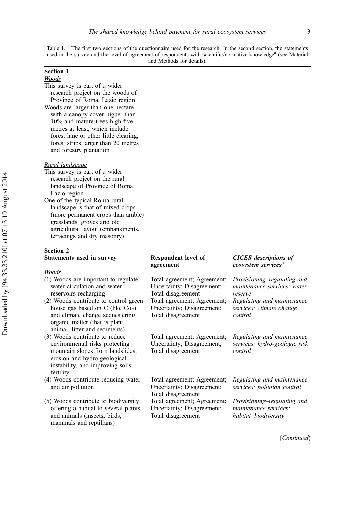<span id="page-3-0"></span>Table 1. The first two sections of the questionnaire used for the research. In the second section, the statements used in the survey and the level of agreement of respondents with scientific/normative knowledge<sup>a</sup> (see Material and Methods for details).

## Section 1

### Woods

This survey is part of a wider research project on the woods of Province of Roma, Lazio region Woods are larger than one hectare with a canopy cover higher than 10% and mature trees high five metres at least, which include forest lane or other little clearing, forest strips larger than 20 metres and forestry plantation

#### Rural landscape

- This survey is part of a wider research project on the rural landscape of Province of Roma, Lazio region
- One of the typical Roma rural landscape is that of mixed crops (more permanent crops than arable) grasslands, groves and old agricultural layout (embankments, terracings and dry masonry)

### Section 2 Statements used in survey Respondent level of

#### Woods

- (1) Woods are important to regulate water circulation and water reservoirs recharging
- (2) Woods contribute to control green house gas based on C (like  $Co<sub>2</sub>$ ) and climate change sequestering organic matter (that is plant, animal, litter and sediments)
- (3) Woods contribute to reduce environmental risks protecting mountain slopes from landslides, erosion and hydro-geological instability, and improving soils fertility
- (4) Woods contribute reducing water and air pollution
- (5) Woods contribute to biodiversity offering a habitat to several plants and animals (insects, birds, mammals and reptilians)

## agreement

Total agreement; Agreement; Uncertainty; Disagreement; Total disagreement

Total agreement; Agreement; Uncertainty; Disagreement; Total disagreement

Total agreement; Agreement; Uncertainty; Disagreement; Total disagreement

Total agreement; Agreement; Uncertainty; Disagreement; Total disagreement

Total agreement; Agreement; Uncertainty; Disagreement; Total disagreement

#### CICES descriptions of ecosystem services<sup>a</sup>

Provisioning–regulating and maintenance services: water reserve Regulating and maintenance services: climate change control

Regulating and maintenance services: hydro-geologic risk control

Regulating and maintenance services: pollution control

Provisioning–regulating and maintenance services: habitat–biodiversity

(Continued)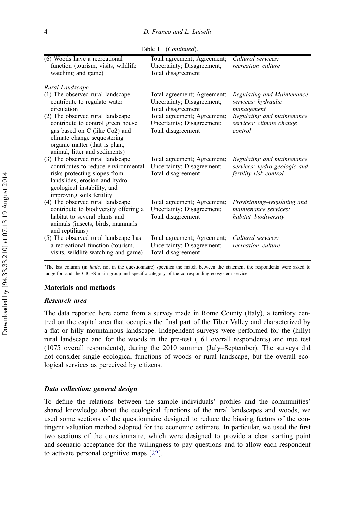Table 1. (Continued).

| (6) Woods have a recreational<br>function (tourism, visits, wildlife                                                                                                                                     | Total agreement; Agreement;<br>Uncertainty; Disagreement;                       | Cultural services:<br>recreation-culture                                             |
|----------------------------------------------------------------------------------------------------------------------------------------------------------------------------------------------------------|---------------------------------------------------------------------------------|--------------------------------------------------------------------------------------|
| watching and game)                                                                                                                                                                                       | Total disagreement                                                              |                                                                                      |
| Rural Landscape                                                                                                                                                                                          |                                                                                 |                                                                                      |
| (1) The observed rural landscape<br>contribute to regulate water<br>circulation                                                                                                                          | Total agreement; Agreement;<br>Uncertainty; Disagreement;<br>Total disagreement | Regulating and Maintenance<br>services: hydraulic<br>management                      |
| (2) The observed rural landscape<br>contribute to control green house<br>gas based on C (like Co2) and<br>climate change sequestering<br>organic matter (that is plant,<br>animal, litter and sediments) | Total agreement; Agreement;<br>Uncertainty; Disagreement;<br>Total disagreement | Regulating and maintenance<br>services: climate change<br>control                    |
| (3) The observed rural landscape<br>contributes to reduce environmental<br>risks protecting slopes from<br>landslides, erosion and hydro-<br>geological instability, and<br>improving soils fertility    | Total agreement; Agreement;<br>Uncertainty; Disagreement;<br>Total disagreement | Regulating and maintenance<br>services: hydro-geologic and<br>fertility risk control |
| (4) The observed rural landscape<br>contribute to biodiversity offering a<br>habitat to several plants and<br>animals (insects, birds, mammals<br>and reptilians)                                        | Total agreement; Agreement;<br>Uncertainty; Disagreement;<br>Total disagreement | Provisioning–regulating and<br>maintenance services:<br>habitat-biodiversity         |
| (5) The observed rural landscape has<br>a recreational function (tourism,<br>visits, wildlife watching and game)                                                                                         | Total agreement; Agreement;<br>Uncertainty; Disagreement;<br>Total disagreement | Cultural services:<br>recreation-culture                                             |

<sup>a</sup>The last column (in *italic*, not in the questionnaire) specifies the match between the statement the respondents were asked to judge for, and the CICES main group and specific category of the corresponding ecosystem service.

#### Materials and methods

#### Research area

The data reported here come from a survey made in Rome County (Italy), a territory centred on the capital area that occupies the final part of the Tiber Valley and characterized by a flat or hilly mountainous landscape. Independent surveys were performed for the (hilly) rural landscape and for the woods in the pre-test (161 overall respondents) and true test (1075 overall respondents), during the 2010 summer (July–September). The surveys did not consider single ecological functions of woods or rural landscape, but the overall ecological services as perceived by citizens.

#### Data collection: general design

To define the relations between the sample individuals' profiles and the communities' shared knowledge about the ecological functions of the rural landscapes and woods, we used some sections of the questionnaire designed to reduce the biasing factors of the contingent valuation method adopted for the economic estimate. In particular, we used the first two sections of the questionnaire, which were designed to provide a clear starting point and scenario acceptance for the willingness to pay questions and to allow each respondent to activate personal cognitive maps [[22\]](#page-15-0).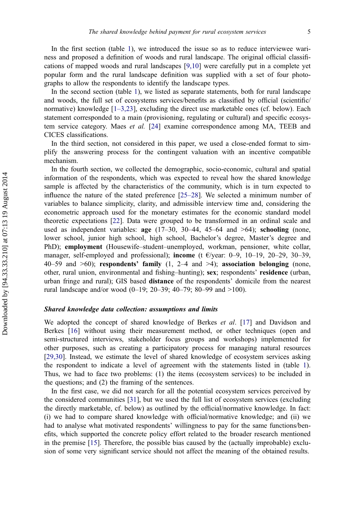In the first section (table [1](#page-3-0)), we introduced the issue so as to reduce interviewee wariness and proposed a definition of woods and rural landscape. The original official classifications of mapped woods and rural landscapes [[9,10](#page-15-0)] were carefully put in a complete yet popular form and the rural landscape definition was supplied with a set of four photographs to allow the respondents to identify the landscape types.

In the second section (table [1](#page-3-0)), we listed as separate statements, both for rural landscape and woods, the full set of ecosystems services/benefits as classified by official (scientific/ normative) knowledge  $[1-3,23]$  $[1-3,23]$  $[1-3,23]$ , excluding the direct use marketable ones (cf. below). Each statement corresponded to a main (provisioning, regulating or cultural) and specific ecosystem service category. Maes et al. [\[24](#page-16-0)] examine correspondence among MA, TEEB and CICES classifications.

In the third section, not considered in this paper, we used a close-ended format to simplify the answering process for the contingent valuation with an incentive compatible mechanism.

In the fourth section, we collected the demographic, socio-economic, cultural and spatial information of the respondents, which was expected to reveal how the shared knowledge sample is affected by the characteristics of the community, which is in turn expected to influence the nature of the stated preference [25–[28\]](#page-16-0). We selected a minimum number of variables to balance simplicity, clarity, and admissible interview time and, considering the econometric approach used for the monetary estimates for the economic standard model theoretic expectations [[22\]](#page-15-0). Data were grouped to be transformed in an ordinal scale and used as independent variables: age  $(17–30, 30–44, 45–64 \text{ and } >64)$ ; schooling (none, lower school, junior high school, high school, Bachelor's degree, Master's degree and PhD); employment (Housewife–student–unemployed, workman, pensioner, white collar, manager, self-employed and professional); income (t  $\epsilon$ /year: 0–9, 10–19, 20–29, 30–39, 40–59 and  $>60$ ; respondents' family  $(1, 2-4$  and  $>4)$ ; association belonging (none, other, rural union, environmental and fishing–hunting); sex; respondents' residence (urban, urban fringe and rural); GIS based distance of the respondents' domicile from the nearest rural landscape and/or wood (0–19; 20–39; 40–79; 80–99 and >100).

#### Shared knowledge data collection: assumptions and limits

We adopted the concept of shared knowledge of Berkes *et al.* [\[17](#page-15-0)] and Davidson and Berkes [[16\]](#page-15-0) without using their measurement method, or other techniques (open and semi-structured interviews, stakeholder focus groups and workshops) implemented for other purposes, such as creating a participatory process for managing natural resources [[29,30\]](#page-16-0). Instead, we estimate the level of shared knowledge of ecosystem services asking the respondent to indicate a level of agreement with the statements listed in (table [1](#page-3-0)). Thus, we had to face two problems: (1) the items (ecosystem services) to be included in the questions; and (2) the framing of the sentences.

In the first case, we did not search for all the potential ecosystem services perceived by the considered communities [\[31](#page-16-0)], but we used the full list of ecosystem services (excluding the directly marketable, cf. below) as outlined by the official/normative knowledge. In fact: (i) we had to compare shared knowledge with official/normative knowledge; and (ii) we had to analyse what motivated respondents' willingness to pay for the same functions/benefits, which supported the concrete policy effort related to the broader research mentioned in the premise [\[15](#page-15-0)]. Therefore, the possible bias caused by the (actually improbable) exclusion of some very significant service should not affect the meaning of the obtained results.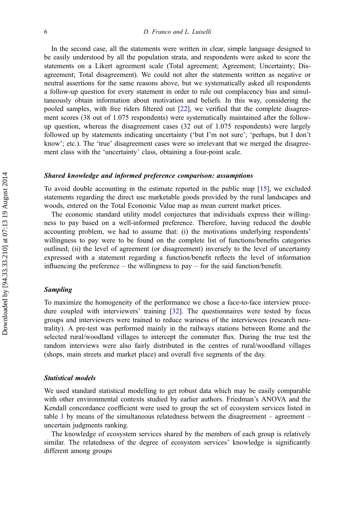In the second case, all the statements were written in clear, simple language designed to be easily understood by all the population strata, and respondents were asked to score the statements on a Likert agreement scale (Total agreement; Agreement; Uncertainty; Disagreement; Total disagreement). We could not alter the statements written as negative or neutral assertions for the same reasons above, but we systematically asked all respondents a follow-up question for every statement in order to rule out complacency bias and simultaneously obtain information about motivation and beliefs. In this way, considering the pooled samples, with free riders filtered out [[22\]](#page-15-0), we verified that the complete disagreement scores (38 out of 1.075 respondents) were systematically maintained after the followup question, whereas the disagreement cases (32 out of 1.075 respondents) were largely followed up by statements indicating uncertainty ('but I'm not sure'; 'perhaps, but I don't know'; etc.). The 'true' disagreement cases were so irrelevant that we merged the disagreement class with the 'uncertainty' class, obtaining a four-point scale.

#### Shared knowledge and informed preference comparison: assumptions

To avoid double accounting in the estimate reported in the public map [\[15](#page-15-0)], we excluded statements regarding the direct use marketable goods provided by the rural landscapes and woods, entered on the Total Economic Value map as mean current market prices.

The economic standard utility model conjectures that individuals express their willingness to pay based on a well-informed preference. Therefore, having reduced the double accounting problem, we had to assume that: (i) the motivations underlying respondents' willingness to pay were to be found on the complete list of functions/benefits categories outlined; (ii) the level of agreement (or disagreement) inversely to the level of uncertainty expressed with a statement regarding a function/benefit reflects the level of information influencing the preference – the willingness to  $pay - for$  the said function/benefit.

#### Sampling

To maximize the homogeneity of the performance we chose a face-to-face interview procedure coupled with interviewers' training [\[32](#page-16-0)]. The questionnaires were tested by focus groups and interviewers were trained to reduce wariness of the interviewees (research neutrality). A pre-test was performed mainly in the railways stations between Rome and the selected rural/woodland villages to intercept the commuter flux. During the true test the random interviews were also fairly distributed in the centres of rural/woodland villages (shops, main streets and market place) and overall five segments of the day.

#### Statistical models

We used standard statistical modelling to get robust data which may be easily comparable with other environmental contexts studied by earlier authors. Friedman's ANOVA and the Kendall concordance coefficient were used to group the set of ecosystem services listed in table [1](#page-3-0) by means of the simultaneous relatedness between the disagreement – agreement – uncertain judgments ranking.

The knowledge of ecosystem services shared by the members of each group is relatively similar. The relatedness of the degree of ecosystem services' knowledge is significantly different among groups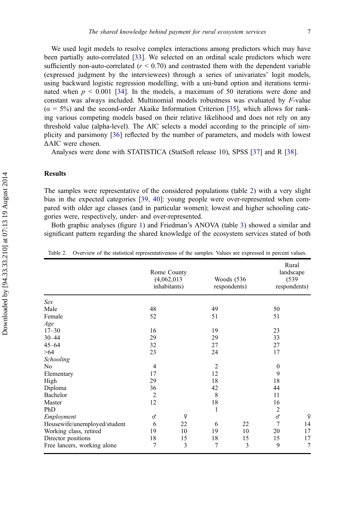<span id="page-7-0"></span>We used logit models to resolve complex interactions among predictors which may have been partially auto-correlated [\[33](#page-16-0)]. We selected on an ordinal scale predictors which were sufficiently non-auto-correlated  $(r < 0.70)$  and contrasted them with the dependent variable (expressed judgment by the interviewees) through a series of univariates' logit models, using backward logistic regression modelling, with a uni-band option and iterations terminated when  $p \le 0.001$  [\[34](#page-16-0)]. In the models, a maximum of 50 iterations were done and constant was always included. Multinomial models robustness was evaluated by F-value  $(\alpha = 5\%)$  and the second-order Akaike Information Criterion [[35\]](#page-16-0), which allows for ranking various competing models based on their relative likelihood and does not rely on any threshold value (alpha-level). The AIC selects a model according to the principle of simplicity and parsimony [[36\]](#page-16-0) reflected by the number of parameters, and models with lowest ΔAIC were chosen.

Analyses were done with STATISTICA (StatSoft release 10), SPSS [\[37](#page-16-0)] and R [[38\]](#page-16-0).

#### **Results**

The samples were representative of the considered populations (table 2) with a very slight bias in the expected categories [\[39, 40\]](#page-16-0): young people were over-represented when compared with older age classes (and in particular women); lowest and higher schooling categories were, respectively, under- and over-represented.

Both graphic analyses (figure [1](#page-8-0)) and Friedman's ANOVA (table [3](#page-9-0)) showed a similar and significant pattern regarding the shared knowledge of the ecosystem services stated of both

|                              |                | Rome County<br>(4,062,013)<br>inhabitants) |                | Woods $(536)$<br>respondents) | Rural          | landscape<br>(539)<br>respondents) |
|------------------------------|----------------|--------------------------------------------|----------------|-------------------------------|----------------|------------------------------------|
| Sex                          |                |                                            |                |                               |                |                                    |
| Male                         | 48             |                                            | 49             |                               | 50             |                                    |
| Female                       | 52             |                                            | 51             |                               | 51             |                                    |
| Age                          |                |                                            |                |                               |                |                                    |
| $17 - 30$                    | 16             |                                            | 19             |                               | 23             |                                    |
| $30 - 44$                    | 29             |                                            | 29             |                               | 33             |                                    |
| $45 - 64$                    | 32             |                                            | 27             |                               | 27             |                                    |
| >64                          | 23             |                                            | 24             |                               | 17             |                                    |
| Schooling                    |                |                                            |                |                               |                |                                    |
| No                           | 4              |                                            | $\overline{2}$ |                               | $\mathbf{0}$   |                                    |
| Elementary                   | 17             |                                            | 12             |                               | 9              |                                    |
| High                         | 29             |                                            | 18             |                               | 18             |                                    |
| Diploma                      | 36             |                                            | 42             |                               | 44             |                                    |
| Bachelor                     | $\overline{2}$ |                                            | 8              |                               | 11             |                                    |
| Master                       | 12             |                                            | 18             |                               | 16             |                                    |
| PhD                          |                |                                            | 1              |                               | 2              |                                    |
| Employment                   | ď              | $\mathsf{Q}$                               |                |                               | ď              | $\boldsymbol{\mathsf{Q}}$          |
| Housewife/unemployed/student | 6              | 22                                         | 6              | 22                            | $\overline{7}$ | 14                                 |
| Working class, retired       | 19             | 10                                         | 19             | 10                            | 20             | 17                                 |
| Director positions           | 18             | 15                                         | 18             | 15                            | 15             | 17                                 |
| Free lancers, working alone  | 7              | 3                                          | 7              | 3                             | 9              | $\boldsymbol{7}$                   |

Table 2. Overview of the statistical representativeness of the samples. Values are expressed in percent values.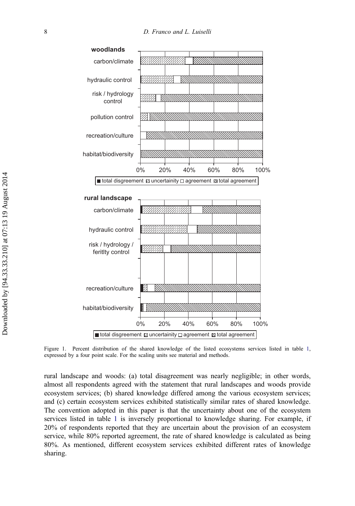<span id="page-8-0"></span>

Figure 1. Percent distribution of the shared knowledge of the listed ecosystems services listed in table [1,](#page-3-0) expressed by a four point scale. For the scaling units see material and methods.

rural landscape and woods: (a) total disagreement was nearly negligible; in other words, almost all respondents agreed with the statement that rural landscapes and woods provide ecosystem services; (b) shared knowledge differed among the various ecosystem services; and (c) certain ecosystem services exhibited statistically similar rates of shared knowledge. The convention adopted in this paper is that the uncertainty about one of the ecosystem services listed in table [1](#page-3-0) is inversely proportional to knowledge sharing. For example, if 20% of respondents reported that they are uncertain about the provision of an ecosystem service, while 80% reported agreement, the rate of shared knowledge is calculated as being 80%. As mentioned, different ecosystem services exhibited different rates of knowledge sharing.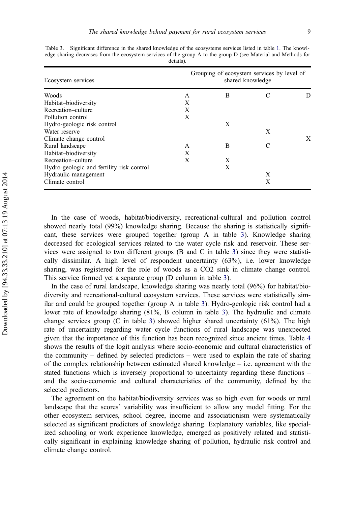| Ecosystem services                        |   | Grouping of ecosystem services by level of | shared knowledge |   |
|-------------------------------------------|---|--------------------------------------------|------------------|---|
| Woods                                     | A | B                                          | C                |   |
| Habitat-biodiversity                      | X |                                            |                  |   |
| Recreation-culture                        | X |                                            |                  |   |
| Pollution control                         | X |                                            |                  |   |
| Hydro-geologic risk control               |   | X                                          |                  |   |
| Water reserve                             |   |                                            | X                |   |
| Climate change control                    |   |                                            |                  | X |
| Rural landscape                           | A | B                                          | C                |   |
| Habitat-biodiversity                      | X |                                            |                  |   |
| Recreation-culture                        | X | X                                          |                  |   |
| Hydro-geologic and fertility risk control |   | X                                          |                  |   |
| Hydraulic management                      |   |                                            | X                |   |
| Climate control                           |   |                                            | Х                |   |

<span id="page-9-0"></span>Table 3. Significant difference in the shared knowledge of the ecosystems services listed in table [1](#page-3-0). The knowledge sharing decreases from the ecosystem services of the group A to the group D (see Material and Methods for details).

In the case of woods, habitat/biodiversity, recreational-cultural and pollution control showed nearly total (99%) knowledge sharing. Because the sharing is statistically significant, these services were grouped together (group A in table 3). Knowledge sharing decreased for ecological services related to the water cycle risk and reservoir. These services were assigned to two different groups (B and C in table 3) since they were statistically dissimilar. A high level of respondent uncertainty (63%), i.e. lower knowledge sharing, was registered for the role of woods as a CO2 sink in climate change control. This service formed yet a separate group (D column in table 3).

In the case of rural landscape, knowledge sharing was nearly total (96%) for habitat/biodiversity and recreational-cultural ecosystem services. These services were statistically similar and could be grouped together (group A in table 3). Hydro-geologic risk control had a lower rate of knowledge sharing (81%, B column in table 3). The hydraulic and climate change services group (C in table 3) showed higher shared uncertainty  $(61\%)$ . The high rate of uncertainty regarding water cycle functions of rural landscape was unexpected given that the importance of this function has been recognized since ancient times. Table [4](#page-10-0) shows the results of the logit analysis where socio-economic and cultural characteristics of the community – defined by selected predictors – were used to explain the rate of sharing of the complex relationship between estimated shared knowledge  $-$  i.e. agreement with the stated functions which is inversely proportional to uncertainty regarding these functions – and the socio-economic and cultural characteristics of the community, defined by the selected predictors.

The agreement on the habitat/biodiversity services was so high even for woods or rural landscape that the scores' variability was insufficient to allow any model fitting. For the other ecosystem services, school degree, income and associationism were systematically selected as significant predictors of knowledge sharing. Explanatory variables, like specialized schooling or work experience knowledge, emerged as positively related and statistically significant in explaining knowledge sharing of pollution, hydraulic risk control and climate change control.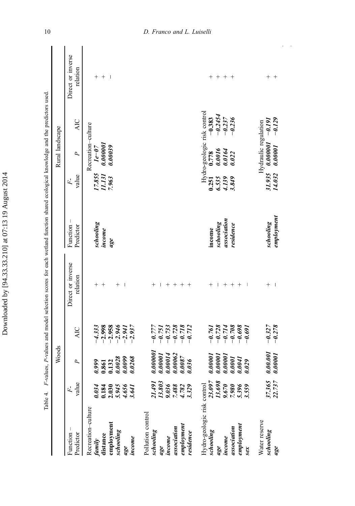| Í<br>J       |
|--------------|
|              |
| くさいせん<br>Ì   |
| ١            |
| - 21 22 22 1 |
|              |
| ۔<br>د       |
| I            |
|              |
|              |

|                             |                                                    |                                                                                                  |            |                               |                         | C           |                                       |            |                               |
|-----------------------------|----------------------------------------------------|--------------------------------------------------------------------------------------------------|------------|-------------------------------|-------------------------|-------------|---------------------------------------|------------|-------------------------------|
|                             |                                                    | Woods                                                                                            |            |                               |                         |             | Rural landscape                       |            |                               |
| Function<br>Predictor       | value<br>E,                                        | P,                                                                                               | <b>AIC</b> | Direct or inverse<br>relation | Function -<br>Predictor | value<br>E, | P                                     | <b>AIC</b> | Direct or inverse<br>relation |
| Recreation-culture          |                                                    |                                                                                                  |            |                               |                         |             | Recreation-culture                    |            |                               |
| family                      |                                                    |                                                                                                  | $-4.333$   | $\hspace{0.1mm} +$            | schooling               | 17.855      | $1e\hspace{-0.1cm}-\hspace{-0.1cm}07$ |            | $\hspace{0.1mm} +$            |
| distance                    |                                                    |                                                                                                  | $-2.998$   | $^+$                          | income                  | 11.131      | 0.000001                              |            | $^{+}$                        |
| employment                  |                                                    |                                                                                                  | $-2.958$   |                               | age                     | 7.963       | 0.00039                               |            | $\mathbf{I}$                  |
| schooling                   |                                                    |                                                                                                  | $-2.946$   | $\, + \,$                     |                         |             |                                       |            |                               |
|                             |                                                    |                                                                                                  | $-2.941$   | I                             |                         |             |                                       |            |                               |
| age<br>income               | 0.034<br>0.184<br>0.030<br>4.656<br>4.656<br>3.641 | 0.999<br>6.861<br>6.861<br>6.0099<br>6.0268<br>6.0268                                            | $-2.937$   |                               |                         |             |                                       |            |                               |
| Pollution control           |                                                    |                                                                                                  |            |                               |                         |             |                                       |            |                               |
| schooling                   |                                                    |                                                                                                  | $-0.777$   |                               |                         |             |                                       |            |                               |
| ase                         |                                                    |                                                                                                  | $-0.75I$   |                               |                         |             |                                       |            |                               |
| income                      |                                                    |                                                                                                  | $-0.733$   | ┿                             |                         |             |                                       |            |                               |
| association                 |                                                    |                                                                                                  | $-0.728$   | $^+$                          |                         |             |                                       |            |                               |
| employment                  |                                                    |                                                                                                  | $-0.718$   |                               |                         |             |                                       |            |                               |
| residence                   | 21.491<br>13.803<br>13.803<br>1.782<br>4.782       | $\begin{array}{l} 0.000001\\ 0.00001\\ 0.00014\\ 0.00014\\ 0.00062\\ 0.0087\\ 0.036 \end{array}$ | $-0.712$   |                               |                         |             |                                       |            |                               |
| Hydro-geologic risk control |                                                    |                                                                                                  |            |                               |                         |             | Hydro-geologic risk control           |            |                               |
| schooling                   |                                                    |                                                                                                  | $-0.761$   | ╄                             | income                  | 0.251       | 0.778                                 | $-0.383$   | $\hspace{0.1mm} +$            |
|                             |                                                    |                                                                                                  | $-0.728$   |                               | schooling               | 6.535       |                                       | $-0.2454$  | $^{+}$                        |
| age<br>income               |                                                    |                                                                                                  | $-0.714$   | ┿                             | association             | 4.139       | $0.0016$<br>0.0164                    | $-0.237$   | $^{+}$                        |
| association                 |                                                    | $0.00001$<br>$0.00001$<br>$0.00001$<br>$0.0001$<br>$0.001$<br>$0.0041$                           | $-0.708$   | $^{+}$                        | residence               | 3.849       | 0.022                                 | $-0.236$   | $^{+}$                        |
| employment                  |                                                    |                                                                                                  | $-0.698$   | $^{+}$                        |                         |             |                                       |            |                               |
| sex                         | 23.097<br>13.698<br>13.670<br>5.5396<br>5.559      |                                                                                                  | $-0.691$   |                               |                         |             |                                       |            |                               |
| Water reserve               |                                                    |                                                                                                  |            |                               |                         |             | Hydraulic regulation                  |            |                               |
| schooling                   |                                                    |                                                                                                  | $-0.327$   | $^+$                          | schooling               | 31.935      | 0.000001                              | $-0.191$   | $^{+}$                        |
| $age$                       | 37.365<br>22.737                                   | 0.00.001                                                                                         | $-0.278$   | I                             | employment              | 14.032      | 0.00001                               | $-0.129$   | $^{+}$                        |
|                             |                                                    |                                                                                                  |            |                               |                         |             |                                       |            |                               |

Table 4. F-values, P-values and model selection scores for each wetland function shared ecological knowledge and the predictors used. Table 4. F-values, P-values and model selection scores for each wetland function shared ecological knowledge and the predictors used.

### <span id="page-10-0"></span>10 D. Franco and L. Luiselli

 $\ddot{\phantom{a}}$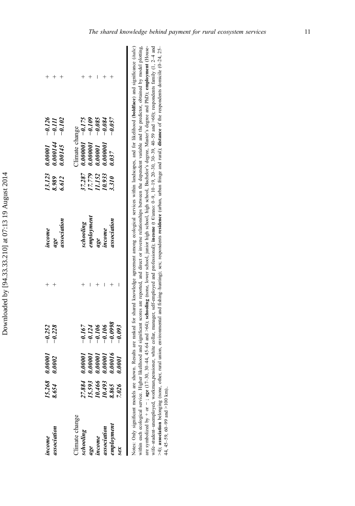| ֚֕֡                  |
|----------------------|
|                      |
|                      |
|                      |
| ١                    |
|                      |
|                      |
| ֕                    |
|                      |
| ۱                    |
| ļ                    |
|                      |
| i<br>i               |
| ١                    |
| ć                    |
|                      |
|                      |
| $\frac{1}{2}$        |
|                      |
| ć                    |
| $\ddot{\phantom{0}}$ |
|                      |
| i                    |
| ١                    |
|                      |
|                      |
|                      |
|                      |
|                      |
|                      |
|                      |
|                      |

| ncome                                                                                                                                                                        | 15.268<br>8.654                                        |                                                    |                                                                                          |                                                         |                                     |                                                                                                                                                                                                                          |                                  |  |
|------------------------------------------------------------------------------------------------------------------------------------------------------------------------------|--------------------------------------------------------|----------------------------------------------------|------------------------------------------------------------------------------------------|---------------------------------------------------------|-------------------------------------|--------------------------------------------------------------------------------------------------------------------------------------------------------------------------------------------------------------------------|----------------------------------|--|
| ssociation                                                                                                                                                                   |                                                        | 0.00001<br>0.0002                                  | $-0.252$<br>$-0.228$                                                                     | income<br>age<br>ssociation                             | 13.123<br>8.989<br>6.612            |                                                                                                                                                                                                                          |                                  |  |
|                                                                                                                                                                              |                                                        |                                                    |                                                                                          |                                                         |                                     | 1,00001<br>1,000144<br>1,000145                                                                                                                                                                                          | $-0.126$<br>$-0.111$<br>$-0.102$ |  |
|                                                                                                                                                                              |                                                        |                                                    |                                                                                          |                                                         |                                     | $\begin{tabular}{ll} 2 (linear) & \textcolor{red}{\fbox{\footnotesize{Chimate change}}} \\ 0.0000001 & -0.175 \\ 0.0000001 & -0.109 \\ 0.000001 & -0.085 \\ 0.000001 & -0.084 \\ 0.037 & -0.057 \\ \hline \end{tabular}$ |                                  |  |
|                                                                                                                                                                              |                                                        |                                                    |                                                                                          |                                                         |                                     |                                                                                                                                                                                                                          |                                  |  |
|                                                                                                                                                                              |                                                        |                                                    |                                                                                          | schooling<br>employmen:<br>1ge<br>income<br>insociation | 87.287<br>17.779<br>10.933<br>1.310 |                                                                                                                                                                                                                          |                                  |  |
|                                                                                                                                                                              |                                                        |                                                    |                                                                                          |                                                         |                                     |                                                                                                                                                                                                                          |                                  |  |
|                                                                                                                                                                              |                                                        |                                                    |                                                                                          |                                                         |                                     |                                                                                                                                                                                                                          |                                  |  |
| $\begin{array}{l} \text{Clinate change} \\ \textit{strooling} \\ \textit{age} \\ \textit{income} \\ \textit{assocation} \\ \textit{assocation} \\ \textit{emph} \end{array}$ |                                                        | 1,0001<br>1,00001<br>1,00001<br>1,00016<br>1,00016 | $\begin{array}{r} -0.167 \\ -0.124 \\ -0.106 \\ -0.106 \\ -0.0998 \\ -0.093 \end{array}$ |                                                         |                                     |                                                                                                                                                                                                                          |                                  |  |
|                                                                                                                                                                              | 27.884<br>15.593<br>10.466<br>10.493<br>7.026<br>7.026 |                                                    |                                                                                          |                                                         |                                     |                                                                                                                                                                                                                          |                                  |  |
|                                                                                                                                                                              |                                                        |                                                    |                                                                                          |                                                         |                                     |                                                                                                                                                                                                                          |                                  |  |

Notes: Only significant models are shown. Results are ranked for shared knowledge agreement among ecological services within landscapes, and for likelihood (boldface) and significance (italic) wife-student-unemployed, workman,pensioner, white collar, manager, self-employed and professional); income (t  $\epsilon$ (anno: 0-9, 10-19, 20-39, 30-99, 40-59 and >60); respondents family (1, 2-4 and >4); association belonging Notes: Only significant models are shown. Results are ranked for shared knowledge agreement among ecological services within landscapes, and for likelihood (boldface) and significance (italic) within each ecological service. Higher likelihood and significant scores are reported, and direct or inverse relationships between the dependent variable and the predictor, obtained by model plotting, are symbolized by + or -; age  $(17-30, 30-44, 45-64, 404)$  schooling (none, lower school, junior high school, high school, Bachelor's degree, Master's degree and PhD); employment (Houseare symbolized by + or −; age (17–30, 30–44, 45–64 and >64); schooling (none, lower school, junior high school, Bigh school, Bachelor's degree, Master's degree and PhD); employment (Housewife–student–unemployed, workman,pensioner, white collar, manager, self-employed and professional); income (t €/amo: 0–9, 10–19, 20–30, 30–59, 40–59, and >60); respondents family (1, 2–4 and  $\leftrightarrow$ 4); association belonging (none, other, rural union, environmental and fishing–hunting); sex; respondents residence (urban, urban fringe and rural); distance of the respondents domicile (0–24, 25– within each ecological service. Higher likelihood and significant scores are reported, and direct or inverse relationships between the dependent variable and the predictor, obtained by model plotting, 44, 45–59, 60–99 and  $>100$  km). 44, 45–59, 60–99 and  $>100$  km)..

 $\mathbf{I}$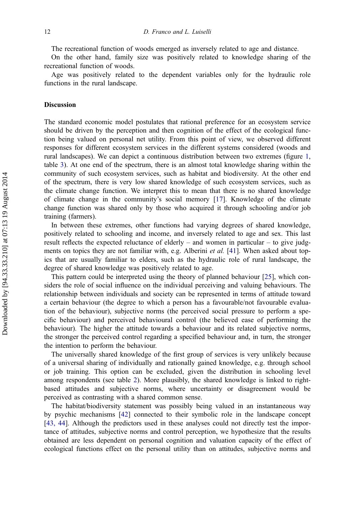The recreational function of woods emerged as inversely related to age and distance.

On the other hand, family size was positively related to knowledge sharing of the recreational function of woods.

Age was positively related to the dependent variables only for the hydraulic role functions in the rural landscape.

#### **Discussion**

The standard economic model postulates that rational preference for an ecosystem service should be driven by the perception and then cognition of the effect of the ecological function being valued on personal net utility. From this point of view, we observed different responses for different ecosystem services in the different systems considered (woods and rural landscapes). We can depict a continuous distribution between two extremes (figure [1](#page-8-0), table [3\)](#page-9-0). At one end of the spectrum, there is an almost total knowledge sharing within the community of such ecosystem services, such as habitat and biodiversity. At the other end of the spectrum, there is very low shared knowledge of such ecosystem services, such as the climate change function. We interpret this to mean that there is no shared knowledge of climate change in the community's social memory [[17\]](#page-15-0). Knowledge of the climate change function was shared only by those who acquired it through schooling and/or job training (farmers).

In between these extremes, other functions had varying degrees of shared knowledge, positively related to schooling and income, and inversely related to age and sex. This last result reflects the expected reluctance of elderly – and women in particular – to give judgments on topics they are not familiar with, e.g. Alberini *et al.* [[41\]](#page-16-0). When asked about topics that are usually familiar to elders, such as the hydraulic role of rural landscape, the degree of shared knowledge was positively related to age.

This pattern could be interpreted using the theory of planned behaviour [[25\]](#page-16-0), which considers the role of social influence on the individual perceiving and valuing behaviours. The relationship between individuals and society can be represented in terms of attitude toward a certain behaviour (the degree to which a person has a favourable/not favourable evaluation of the behaviour), subjective norms (the perceived social pressure to perform a specific behaviour) and perceived behavioural control (the believed ease of performing the behaviour). The higher the attitude towards a behaviour and its related subjective norms, the stronger the perceived control regarding a specified behaviour and, in turn, the stronger the intention to perform the behaviour.

The universally shared knowledge of the first group of services is very unlikely because of a universal sharing of individually and rationally gained knowledge, e.g. through school or job training. This option can be excluded, given the distribution in schooling level among respondents (see table [2\)](#page-7-0). More plausibly, the shared knowledge is linked to rightbased attitudes and subjective norms, where uncertainty or disagreement would be perceived as contrasting with a shared common sense.

The habitat/biodiversity statement was possibly being valued in an instantaneous way by psychic mechanisms [\[42](#page-16-0)] connected to their symbolic role in the landscape concept [[43, 44\]](#page-16-0). Although the predictors used in these analyses could not directly test the importance of attitudes, subjective norms and control perception, we hypothesize that the results obtained are less dependent on personal cognition and valuation capacity of the effect of ecological functions effect on the personal utility than on attitudes, subjective norms and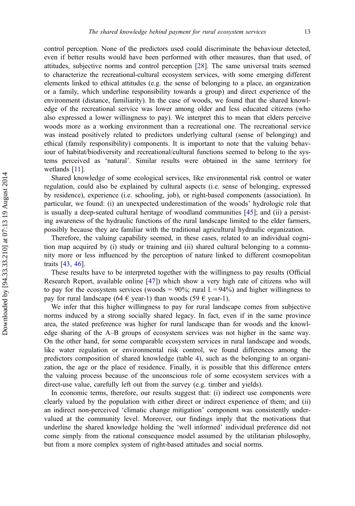control perception. None of the predictors used could discriminate the behaviour detected, even if better results would have been performed with other measures, than that used, of attitudes, subjective norms and control perception [\[28](#page-16-0)]. The same universal traits seemed to characterize the recreational-cultural ecosystem services, with some emerging different elements linked to ethical attitudes (e.g. the sense of belonging to a place, an organization or a family, which underline responsibility towards a group) and direct experience of the environment (distance, familiarity). In the case of woods, we found that the shared knowledge of the recreational service was lower among older and less educated citizens (who also expressed a lower willingness to pay). We interpret this to mean that elders perceive woods more as a working environment than a recreational one. The recreational service was instead positively related to predictors underlying cultural (sense of belonging) and ethical (family responsibility) components. It is important to note that the valuing behaviour of habitat/biodiversity and recreational/cultural functions seemed to belong to the systems perceived as 'natural'. Similar results were obtained in the same territory for wetlands [[11\]](#page-15-0).

Shared knowledge of some ecological services, like environmental risk control or water regulation, could also be explained by cultural aspects (i.e. sense of belonging, expressed by residence), experience (i.e. schooling, job), or right-based components (association). In particular, we found: (i) an unexpected underestimation of the woods' hydrologic role that is usually a deep-seated cultural heritage of woodland communities [\[45](#page-16-0)]; and (ii) a persisting awareness of the hydraulic functions of the rural landscape limited to the elder farmers, possibly because they are familiar with the traditional agricultural hydraulic organization.

Therefore, the valuing capability seemed, in these cases, related to an individual cognition map acquired by (i) study or training and (ii) shared cultural belonging to a community more or less influenced by the perception of nature linked to different cosmopolitan traits [\[43, 46](#page-16-0)].

These results have to be interpreted together with the willingness to pay results (Official Research Report, available online [\[47](#page-16-0)]) which show a very high rate of citizens who will to pay for the ecosystem services (woods =  $90\%$ ; rural l. =  $94\%$ ) and higher willingness to pay for rural landscape (64  $\epsilon$  year-1) than woods (59  $\epsilon$  year-1).

We infer that this higher willingness to pay for rural landscape comes from subjective norms induced by a strong socially shared legacy. In fact, even if in the same province area, the stated preference was higher for rural landscape than for woods and the knowledge sharing of the A–B groups of ecosystem services was not higher in the same way. On the other hand, for some comparable ecosystem services in rural landscape and woods, like water regulation or environmental risk control, we found differences among the predictors composition of shared knowledge (table [4\)](#page-10-0), such as the belonging to an organization, the age or the place of residence. Finally, it is possible that this difference enters the valuing process because of the unconscious role of some ecosystem services with a direct-use value, carefully left out from the survey (e.g. timber and yields).

In economic terms, therefore, our results suggest that: (i) indirect use components were clearly valued by the population with either direct or indirect experience of them; and (ii) an indirect non-perceived 'climatic change mitigation' component was consistently undervalued at the community level. Moreover, our findings imply that the motivations that underline the shared knowledge holding the 'well informed' individual preference did not come simply from the rational consequence model assumed by the utilitarian philosophy, but from a more complex system of right-based attitudes and social norms.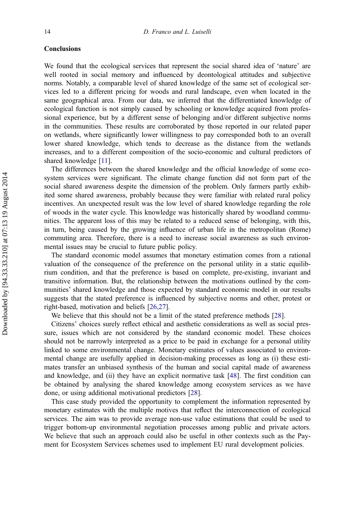### Conclusions

We found that the ecological services that represent the social shared idea of 'nature' are well rooted in social memory and influenced by deontological attitudes and subjective norms. Notably, a comparable level of shared knowledge of the same set of ecological services led to a different pricing for woods and rural landscape, even when located in the same geographical area. From our data, we inferred that the differentiated knowledge of ecological function is not simply caused by schooling or knowledge acquired from professional experience, but by a different sense of belonging and/or different subjective norms in the communities. These results are corroborated by those reported in our related paper on wetlands, where significantly lower willingness to pay corresponded both to an overall lower shared knowledge, which tends to decrease as the distance from the wetlands increases, and to a different composition of the socio-economic and cultural predictors of shared knowledge [[11](#page-15-0)].

The differences between the shared knowledge and the official knowledge of some ecosystem services were significant. The climate change function did not form part of the social shared awareness despite the dimension of the problem. Only farmers partly exhibited some shared awareness, probably because they were familiar with related rural policy incentives. An unexpected result was the low level of shared knowledge regarding the role of woods in the water cycle. This knowledge was historically shared by woodland communities. The apparent loss of this may be related to a reduced sense of belonging, with this, in turn, being caused by the growing influence of urban life in the metropolitan (Rome) commuting area. Therefore, there is a need to increase social awareness as such environmental issues may be crucial to future public policy.

The standard economic model assumes that monetary estimation comes from a rational valuation of the consequence of the preference on the personal utility in a static equilibrium condition, and that the preference is based on complete, pre-existing, invariant and transitive information. But, the relationship between the motivations outlined by the communities' shared knowledge and those expected by standard economic model in our results suggests that the stated preference is influenced by subjective norms and other, protest or right-based, motivation and beliefs [\[26,27\]](#page-16-0).

We believe that this should not be a limit of the stated preference methods [\[28](#page-16-0)].

Citizens' choices surely reflect ethical and aesthetic considerations as well as social pressure, issues which are not considered by the standard economic model. These choices should not be narrowly interpreted as a price to be paid in exchange for a personal utility linked to some environmental change. Monetary estimates of values associated to environmental change are usefully applied in decision-making processes as long as (i) these estimates transfer an unbiased synthesis of the human and social capital made of awareness and knowledge, and (ii) they have an explicit normative task [\[48](#page-16-0)]. The first condition can be obtained by analysing the shared knowledge among ecosystem services as we have done, or using additional motivational predictors [[28\]](#page-16-0).

This case study provided the opportunity to complement the information represented by monetary estimates with the multiple motives that reflect the interconnection of ecological services. The aim was to provide average non-use value estimations that could be used to trigger bottom-up environmental negotiation processes among public and private actors. We believe that such an approach could also be useful in other contexts such as the Payment for Ecosystem Services schemes used to implement EU rural development policies.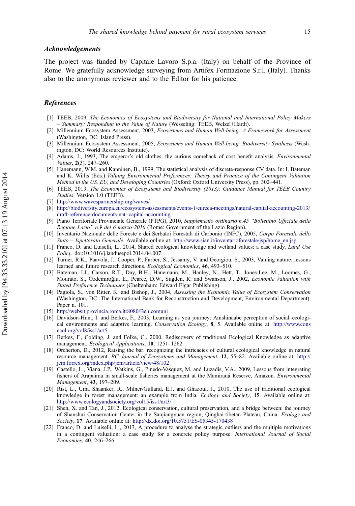#### <span id="page-15-0"></span>Acknowledgements

The project was funded by Capitale Lavoro S.p.a. (Italy) on behalf of the Province of Rome. We gratefully acknowledge surveying from Artifex Formazione S.r.l. (Italy). Thanks also to the anonymous reviewer and to the Editor for his patience.

#### References

- [1] TEEB, 2009, The Economics of Ecosystems and Biodiversity for National and International Policy Makers – Summary: Responding to the Value of Nature (Wesseling: TEEB, Welzel+Hardt).
- [2] Millennium Ecosystem Assessment, 2003, Ecosystems and Human Well-being: A Framework for Assessment (Washington, DC: Island Press).
- [3] Millennium Ecosystem Assessment, 2005, Ecosystems and Human Well-being: Biodiversity Synthesis (Washington, DC: World Resources Institute).
- [4] Adams, J., 1993, The emperor's old clothes: the curious comeback of cost benefit analysis. *Environmental* Values, 2(3), 247–260.
- [5] Hanemann, W.M. and Kanninen, B., 1999, The statistical analysis of discrete-response CV data. In: I. Bateman and K. Willis (Eds.) Valuing Environmental Preferences: Theory and Practice of the Contingent Valuation Method in the US, EU, and Developing Countries (Oxford: Oxford University Press), pp. 302–441.
- [6] TEEB, 2013, The Economics of Ecosystems and Biodiversity (2013): Guidance Manual for TEEB Country Studies, Version 1.0 (TEEB).
- <http://www.wavespartnership.org/waves/>
- [8] [http://biodiversity.europa.eu/ecosystem-assessments/events-1/eureca-meetings/natural-capital-accounting-2013/](http://biodiversity.europa.eu/ecosystem-assessments/events-1/eureca-meetings/natural-capital-accounting-2013/draft-reference-documents-nat.-capital-accounting) [draft-reference-documents-nat.-capital-accounting](http://biodiversity.europa.eu/ecosystem-assessments/events-1/eureca-meetings/natural-capital-accounting-2013/draft-reference-documents-nat.-capital-accounting)
- [9] Piano Territoriale Provinciale Generale (PTPG), 2010, Supplemento ordinario n.45 "Bollettino Ufficiale della Regione Lazio" n.9 del 6 marzo 2010 (Rome: Government of the Lazio Region).
- [10] Inventario Nazionale delle Foreste e dei Serbatoi Forestali di Carbonio (INFC), 2005, Corpo Forestale dello Stato – Ispettorato Generale. Available online at: [http://www.sian.it/inventarioforestale/jsp/home\\_en.jsp](http://www.sian.it/inventarioforestale/jsp/home_en.jsp)
- [11] Franco, D. and Luiselli, L., 2014, Shared ecological knowledge and wetland values: a case study. Land Use Policy. doi:10.1016/j.landusepol.2014.04.007.
- [12] Turner, R.K., Paavola, J., Cooper, P., Farber, S., Jessamy, V. and Georgiou, S., 2003, Valuing nature: lessons learned and future research directions. Ecological Economics, 46, 493–510.
- [13] Bateman, I.J., Carson, R.T., Day, B.H., Hanemann, M., Hanley, N., Hett, T., Jones-Lee, M., Loomes, G., Mourato, S., Özdemiroğlu, E., Pearce, D.W., Sugden, R. and Swanson, J., 2002, Economic Valuation with Stated Preference Techniques (Cheltenham: Edward Elgar Publishing).
- [14] Pagiola, S., von Ritter, K. and Bishop, J., 2004, Assessing the Economic Value of Ecosystem Conservation (Washington, DC: The International Bank for Reconstruction and Development, Environmental Department). Paper n. 101.
- [15] <http://websit.provincia.roma.it:8080/Benicomuni>
- [16] Davidson-Hunt, I. and Berkes, F., 2003, Learning as you journey: Anishinaabe perception of social–ecological environments and adaptive learning. Conservation Ecology, 8, 5. Available online at: [http://www.cons](http://www.consecol.org/vol8/iss1/art5) [ecol.org/vol8/iss1/art5](http://www.consecol.org/vol8/iss1/art5)
- [17] Berkes, F., Colding, J. and Folke, C., 2000, Rediscovery of traditional Ecological Knowledge as adaptive management. Ecological Applications, 10, 1251-1262.
- [18] Orcherton, D., 2012, Raising the bar: recognizing the intricacies of cultural ecological knowledge in natural resource management. BC Journal of Ecosystems and Management, 12, 55–82. Available online at: [http://](http://jem.forrex.org/index.php/jem/article/view/48/102) [jem.forrex.org/index.php/jem/article/view/48/102](http://jem.forrex.org/index.php/jem/article/view/48/102)
- [19] Castello, L., Viana, J.P., Watkins, G., Pinedo-Vasquez, M. and Luzadis, V.A., 2009, Lessons from integrating fishers of Arapaima in small-scale fisheries management at the Mamirauá Reserve, Amazon. Environmental Management, 43, 197–209.
- [20] Rist, L., Uma Shaanker, R., Milner-Gulland, E.J. and Ghazoul, J., 2010, The use of traditional ecological knowledge in forest management: an example from India. Ecology and Society, 15. Available online at: <http://www.ecologyandsociety.org/vol15/iss1/art3/>
- [21] Shen, X. and Tan, J., 2012, Ecological conservation, cultural preservation, and a bridge between: the journey of Shanshui Conservation Center in the Sanjiangyuan region, Qinghai-tibetan Plateau, China. Ecology and Society, 17. Available online at: <http://dx.doi.org/10.5751/ES-05345-170438>
- [22] Franco, D. and Luiselli, L., 2013, A procedure to analyse the strategic outliers and the multiple motivations in a contingent valuation: a case study for a concrete policy purpose. International Journal of Social Economics, 40, 246–266.